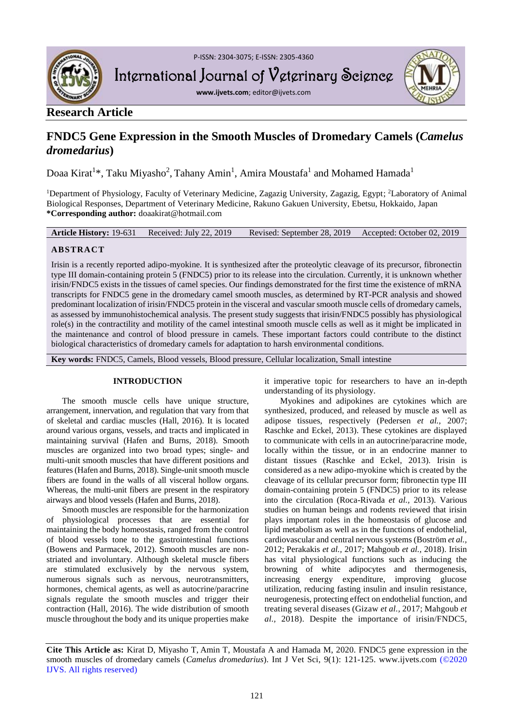

P-ISSN: 2304-3075; E-ISSN: 2305-4360

International Journal of Veterinary Science

**www.ijvets.com**; editor@ijvets.com



# **Research Article**

# **FNDC5 Gene Expression in the Smooth Muscles of Dromedary Camels (***Camelus dromedarius***)**

Doaa Kirat<sup>1\*</sup>, Taku Miyasho<sup>2</sup>, Tahany Amin<sup>1</sup>, Amira Moustafa<sup>1</sup> and Mohamed Hamada<sup>1</sup>

<sup>1</sup>Department of Physiology, Faculty of Veterinary Medicine, Zagazig University, Zagazig, Egypt; <sup>2</sup>Laboratory of Animal Biological Responses, Department of Veterinary Medicine, Rakuno Gakuen University, Ebetsu, Hokkaido, Japan **\*Corresponding author:** doaakirat@hotmail.com

**Article History:** 19-631 Received: July 22, 2019 Revised: September 28, 2019 Accepted: October 02, 2019

# **ABSTRACT**

Irisin is a recently reported adipo-myokine. It is synthesized after the proteolytic cleavage of its precursor, fibronectin type III domain-containing protein 5 (FNDC5) prior to its release into the circulation. Currently, it is unknown whether irisin/FNDC5 exists in the tissues of camel species. Our findings demonstrated for the first time the existence of mRNA transcripts for FNDC5 gene in the dromedary camel smooth muscles, as determined by RT-PCR analysis and showed predominant localization of irisin/FNDC5 protein in the visceral and vascular smooth muscle cells of dromedary camels, as assessed by immunohistochemical analysis. The present study suggests that irisin/FNDC5 possibly has physiological role(s) in the contractility and motility of the camel intestinal smooth muscle cells as well as it might be implicated in the maintenance and control of blood pressure in camels. These important factors could contribute to the distinct biological characteristics of dromedary camels for adaptation to harsh environmental conditions.

**Key words:** FNDC5, Camels, Blood vessels, Blood pressure, Cellular localization, Small intestine

## **INTRODUCTION**

The smooth muscle cells have unique structure, arrangement, innervation, and regulation that vary from that of skeletal and cardiac muscles (Hall, 2016). It is located around various organs, vessels, and tracts and implicated in maintaining survival (Hafen and Burns, 2018). Smooth muscles are organized into two broad types; single- and multi-unit smooth muscles that have different positions and features (Hafen and Burns, 2018). Single-unit smooth muscle fibers are found in the walls of all visceral hollow organs. Whereas, the multi-unit fibers are present in the respiratory airways and blood vessels (Hafen and Burns, 2018).

Smooth muscles are responsible for the harmonization of physiological processes that are essential for maintaining the body homeostasis, ranged from the control of blood vessels tone to the gastrointestinal functions (Bowens and Parmacek, 2012). Smooth muscles are nonstriated and involuntary. Although skeletal muscle fibers are stimulated exclusively by the nervous system, numerous signals such as nervous, neurotransmitters, hormones, chemical agents, as well as autocrine/paracrine signals regulate the smooth muscles and trigger their contraction (Hall, 2016). The wide distribution of smooth muscle throughout the body and its unique properties make

it imperative topic for researchers to have an in-depth understanding of its physiology.

Myokines and adipokines are cytokines which are synthesized, produced, and released by muscle as well as adipose tissues, respectively (Pedersen *et al.,* 2007; Raschke and Eckel, 2013). These cytokines are displayed to communicate with cells in an autocrine/paracrine mode, locally within the tissue, or in an endocrine manner to distant tissues (Raschke and Eckel, 2013). Irisin is considered as a new adipo-myokine which is created by the cleavage of its cellular precursor form; fibronectin type III domain-containing protein 5 (FNDC5) prior to its release into the circulation (Roca-Rivada *et al.,* 2013). Various studies on human beings and rodents reviewed that irisin plays important roles in the homeostasis of glucose and lipid metabolism as well as in the functions of endothelial, cardiovascular and central nervous systems (Boström *et al.,* 2012; Perakakis *et al.,* 2017; Mahgoub *et al.,* 2018). Irisin has vital physiological functions such as inducing the browning of white adipocytes and thermogenesis, increasing energy expenditure, improving glucose utilization, reducing fasting insulin and insulin resistance, neurogenesis, protecting effect on endothelial function, and treating several diseases (Gizaw *et al.,* 2017; Mahgoub *et al.,* 2018). Despite the importance of irisin/FNDC5,

**Cite This Article as:** Kirat D, Miyasho T, Amin T, Moustafa A and Hamada M, 2020. FNDC5 gene expression in the smooth muscles of dromedary camels (*Camelus dromedarius*). Int J Vet Sci, 9(1): 121-125. www.ijvets.com (©2020 IJVS. All rights reserved)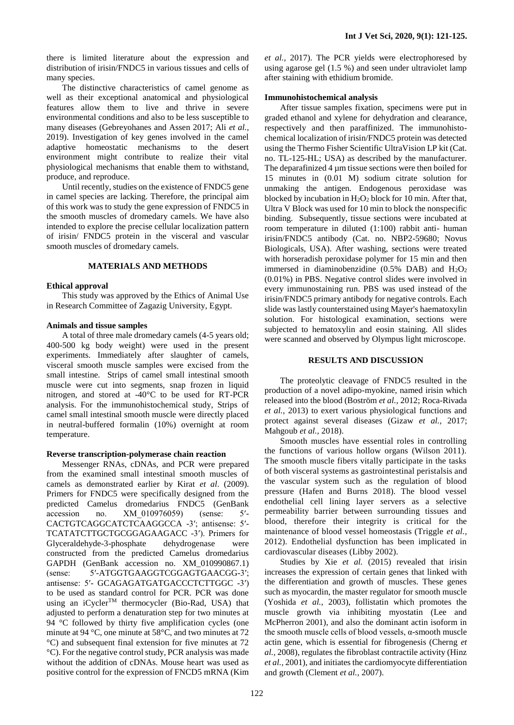there is limited literature about the expression and distribution of irisin/FNDC5 in various tissues and cells of many species.

The distinctive characteristics of camel genome as well as their exceptional anatomical and physiological features allow them to live and thrive in severe environmental conditions and also to be less susceptible to many diseases (Gebreyohanes and Assen 2017; Ali *et al.,* 2019). Investigation of key genes involved in the camel adaptive homeostatic mechanisms to the desert environment might contribute to realize their vital physiological mechanisms that enable them to withstand, produce, and reproduce.

Until recently, studies on the existence of FNDC5 gene in camel species are lacking. Therefore, the principal aim of this work was to study the gene expression of FNDC5 in the smooth muscles of dromedary camels. We have also intended to explore the precise cellular localization pattern of irisin/ FNDC5 protein in the visceral and vascular smooth muscles of dromedary camels.

#### **MATERIALS AND METHODS**

#### **Ethical approval**

This study was approved by the Ethics of Animal Use in Research Committee of Zagazig University, Egypt.

#### **Animals and tissue samples**

A total of three male dromedary camels (4-5 years old; 400-500 kg body weight) were used in the present experiments. Immediately after slaughter of camels, visceral smooth muscle samples were excised from the small intestine. Strips of camel small intestinal smooth muscle were cut into segments, snap frozen in liquid nitrogen, and stored at -40°C to be used for RT-PCR analysis. For the immunohistochemical study, Strips of camel small intestinal smooth muscle were directly placed in neutral-buffered formalin (10%) overnight at room temperature.

#### **Reverse transcription-polymerase chain reaction**

Messenger RNAs, cDNAs, and PCR were prepared from the examined small intestinal smooth muscles of camels as demonstrated earlier by Kirat *et al*. (2009). Primers for FNDC5 were specifically designed from the predicted Camelus dromedarius FNDC5 (GenBank accession no. XM 010976059) (sense: 5'-CACTGTCAGGCATCTCAAGGCCA -3′; antisense: 5′- TCATATCTTGCTGCGGAGAAGACC -3′). Primers for Glyceraldehyde-3-phosphate dehydrogenase were constructed from the predicted Camelus dromedarius GAPDH (GenBank accession no. XM\_010990867.1) (sense: 5′-ATGGTGAAGGTCGGAGTGAACGG-3′; antisense: 5′- GCAGAGATGATGACCCTCTTGGC -3′) to be used as standard control for PCR. PCR was done using an iCycler<sup>TM</sup> thermocycler (Bio-Rad, USA) that adjusted to perform a denaturation step for two minutes at 94 °C followed by thirty five amplification cycles (one minute at 94 °C, one minute at 58°C, and two minutes at 72 °C) and subsequent final extension for five minutes at 72 °C). For the negative control study, PCR analysis was made without the addition of cDNAs. Mouse heart was used as positive control for the expression of FNCD5 mRNA (Kim

*et al.,* 2017). The PCR yields were electrophoresed by using agarose gel (1.5 %) and seen under ultraviolet lamp after staining with ethidium bromide.

### **Immunohistochemical analysis**

After tissue samples fixation, specimens were put in graded ethanol and xylene for dehydration and clearance, respectively and then paraffinized. The immunohistochemical localization of irisin/FNDC5 protein was detected using the Thermo Fisher Scientific UltraVision LP kit (Cat. no. TL-125-HL; USA) as described by the manufacturer. The deparafinized 4 µm tissue sections were then boiled for 15 minutes in (0.01 M) sodium citrate solution for unmaking the antigen. Endogenous peroxidase was blocked by incubation in  $H_2O_2$  block for 10 min. After that, Ultra V Block was used for 10 min to block the nonspecific binding. Subsequently, tissue sections were incubated at room temperature in diluted (1:100) rabbit anti- human irisin/FNDC5 antibody (Cat. no. NBP2-59680; Novus Biologicals, USA). After washing, sections were treated with horseradish peroxidase polymer for 15 min and then immersed in diaminobenzidine  $(0.5\% \text{ DAB})$  and  $H_2O_2$ (0.01%) in PBS. Negative control slides were involved in every immunostaining run. PBS was used instead of the irisin/FNDC5 primary antibody for negative controls. Each slide was lastly counterstained using Mayer's haematoxylin solution. For histological examination, sections were subjected to hematoxylin and eosin staining. All slides were scanned and observed by Olympus light microscope.

### **RESULTS AND DISCUSSION**

The proteolytic cleavage of FNDC5 resulted in the production of a novel adipo-myokine, named irisin which released into the blood (Boström *et al.,* 2012; Roca-Rivada *et al.,* 2013) to exert various physiological functions and protect against several diseases (Gizaw *et al.,* 2017; Mahgoub *et al.,* 2018).

Smooth muscles have essential roles in controlling the functions of various hollow organs (Wilson 2011). The smooth muscle fibers vitally participate in the tasks of both visceral systems as gastrointestinal peristalsis and the vascular system such as the regulation of blood pressure (Hafen and Burns 2018). The blood vessel endothelial cell lining layer servers as a selective permeability barrier between surrounding tissues and blood, therefore their integrity is critical for the maintenance of blood vessel homeostasis (Triggle *et al.,* 2012). Endothelial dysfunction has been implicated in cardiovascular diseases (Libby 2002).

Studies by Xie *et al.* (2015) revealed that irisin increases the expression of certain genes that linked with the differentiation and growth of muscles. These genes such as myocardin, the master regulator for smooth muscle (Yoshida *et al.,* 2003), follistatin which promotes the muscle growth via inhibiting myostatin (Lee and McPherron 2001), and also the dominant actin isoform in the smooth muscle cells of blood vessels, α-smooth muscle actin gene, which is essential for fibrogenesis (Cherng *et al.,* 2008), regulates the fibroblast contractile activity (Hinz *et al.,* 2001), and initiates the cardiomyocyte differentiation and growth (Clement *et al.,* 2007).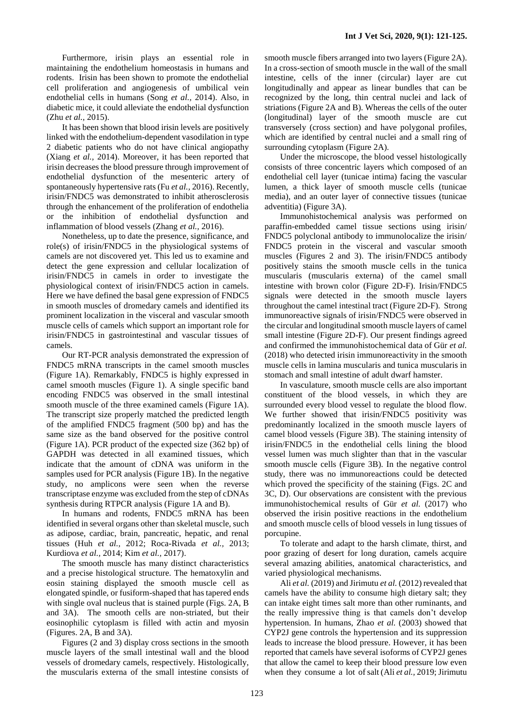Furthermore, irisin plays an essential role in maintaining the endothelium homeostasis in humans and rodents. Irisin has been shown to promote the endothelial cell proliferation and angiogenesis of umbilical vein endothelial cells in humans (Song *et al.,* 2014). Also, in diabetic mice, it could alleviate the endothelial dysfunction (Zhu *et al.,* 2015).

It has been shown that blood irisin levels are positively linked with the endothelium-dependent vasodilation in type 2 diabetic patients who do not have clinical angiopathy (Xiang *et al.,* 2014). Moreover, it has been reported that irisin decreases the blood pressure through improvement of endothelial dysfunction of the mesenteric artery of spontaneously hypertensive rats (Fu *et al.,* 2016). Recently, irisin/FNDC5 was demonstrated to inhibit atherosclerosis through the enhancement of the proliferation of endothelia or the inhibition of endothelial dysfunction and inflammation of blood vessels (Zhang *et al.,* 2016).

Nonetheless, up to date the presence, significance, and role(s) of irisin/FNDC5 in the physiological systems of camels are not discovered yet. This led us to examine and detect the gene expression and cellular localization of irisin/FNDC5 in camels in order to investigate the physiological context of irisin/FNDC5 action in camels. Here we have defined the basal gene expression of FNDC5 in smooth muscles of dromedary camels and identified its prominent localization in the visceral and vascular smooth muscle cells of camels which support an important role for irisin/FNDC5 in gastrointestinal and vascular tissues of camels.

Our RT-PCR analysis demonstrated the expression of FNDC5 mRNA transcripts in the camel smooth muscles (Figure 1A). Remarkably, FNDC5 is highly expressed in camel smooth muscles (Figure 1). A single specific band encoding FNDC5 was observed in the small intestinal smooth muscle of the three examined camels (Figure 1A). The transcript size properly matched the predicted length of the amplified FNDC5 fragment (500 bp) and has the same size as the band observed for the positive control (Figure 1A). PCR product of the expected size (362 bp) of GAPDH was detected in all examined tissues, which indicate that the amount of cDNA was uniform in the samples used for PCR analysis (Figure 1B). In the negative study, no amplicons were seen when the reverse transcriptase enzyme was excluded from the step of cDNAs synthesis during RTPCR analysis (Figure 1A and B).

In humans and rodents, FNDC5 mRNA has been identified in several organs other than skeletal muscle, such as adipose, cardiac, brain, pancreatic, hepatic, and renal tissues (Huh *et al.,* 2012; Roca-Rivada *et al.,* 2013; Kurdiova *et al.,* 2014; Kim *et al.,* 2017).

The smooth muscle has many distinct characteristics and a precise histological structure. The hematoxylin and eosin staining displayed the smooth muscle cell as elongated spindle, or fusiform-shaped that has tapered ends with single oval nucleus that is stained purple (Figs. 2A, B and 3A). The smooth cells are non-striated, but their eosinophilic cytoplasm is filled with actin and myosin (Figures. 2A, B and 3A).

Figures (2 and 3) display cross sections in the smooth muscle layers of the small intestinal wall and the blood vessels of dromedary camels, respectively. Histologically, the muscularis externa of the small intestine consists of

smooth muscle fibers arranged into two layers (Figure 2A). In a cross-section of smooth muscle in the wall of the small intestine, cells of the inner (circular) layer are cut longitudinally and appear as linear bundles that can be recognized by the long, thin central nuclei and lack of striations (Figure 2A and B). Whereas the cells of the outer (longitudinal) layer of the smooth muscle are cut transversely (cross section) and have polygonal profiles, which are identified by central nuclei and a small ring of surrounding cytoplasm (Figure 2A).

Under the microscope, the blood vessel histologically consists of three concentric layers which composed of an endothelial cell layer (tunicae intima) facing the vascular lumen, a thick layer of smooth muscle cells (tunicae media), and an outer layer of connective tissues (tunicae adventitia) (Figure 3A).

Immunohistochemical analysis was performed on paraffin-embedded camel tissue sections using irisin/ FNDC5 polyclonal antibody to immunolocalize the irisin/ FNDC5 protein in the visceral and vascular smooth muscles (Figures 2 and 3). The irisin/FNDC5 antibody positively stains the smooth muscle cells in the tunica muscularis (muscularis externa) of the camel small intestine with brown color (Figure 2D-F). Irisin/FNDC5 signals were detected in the smooth muscle layers throughout the camel intestinal tract (Figure 2D-F). Strong immunoreactive signals of irisin/FNDC5 were observed in the circular and longitudinal smooth muscle layers of camel small intestine (Figure 2D-F). Our present findings agreed and confirmed the immunohistochemical data of Gür *et al.* (2018) who detected irisin immunoreactivity in the smooth muscle cells in lamina muscularis and tunica muscularis in stomach and small intestine of adult dwarf hamster.

In vasculature, smooth muscle cells are also important constituent of the blood vessels, in which they are surrounded every blood vessel to regulate the blood flow. We further showed that irisin/FNDC5 positivity was predominantly localized in the smooth muscle layers of camel blood vessels (Figure 3B). The staining intensity of irisin/FNDC5 in the endothelial cells lining the blood vessel lumen was much slighter than that in the vascular smooth muscle cells (Figure 3B). In the negative control study, there was no immunoreactions could be detected which proved the specificity of the staining (Figs. 2C and 3C, D). Our observations are consistent with the previous immunohistochemical results of Gür *et al.* (2017) who observed the irisin positive reactions in the endothelium and smooth muscle cells of blood vessels in lung tissues of porcupine.

To tolerate and adapt to the harsh climate, thirst, and poor grazing of desert for long duration, camels acquire several amazing abilities, anatomical characteristics, and varied physiological mechanisms.

Ali *et al.* (2019) and Jirimutu *et al.* (2012) revealed that camels have the ability to consume high dietary salt; they can intake eight times salt more than other ruminants, and the really impressive thing is that camels don't develop hypertension. In humans, Zhao *et al.* (2003) showed that CYP2J gene controls the hypertension and its suppression leads to increase the blood pressure. However, it has been reported that camels have several isoforms of CYP2J genes that allow the camel to keep their blood pressure low even when they consume a lot of salt (Ali *et al.,* 2019; Jirimutu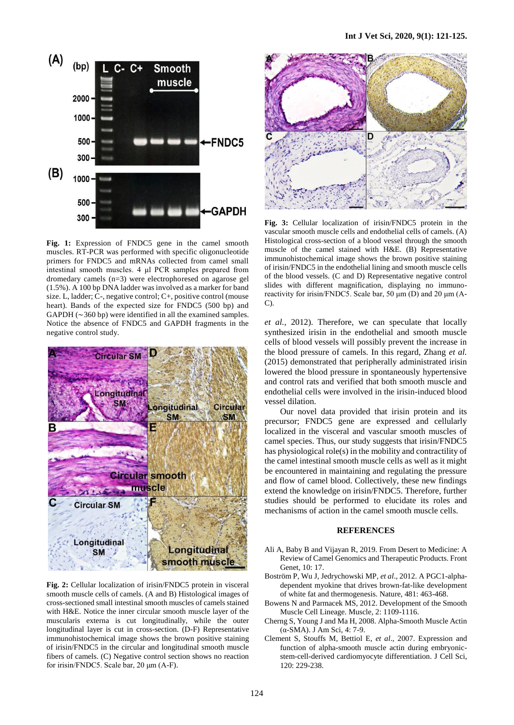

**Fig. 1:** Expression of FNDC5 gene in the camel smooth muscles. RT-PCR was performed with specific oligonucleotide primers for FNDC5 and mRNAs collected from camel small intestinal smooth muscles. 4 μl PCR samples prepared from dromedary camels (n=3) were electrophoresed on agarose gel (1.5%). A 100 bp DNA ladder was involved as a marker for band size. L, ladder; C-, negative control; C+, positive control (mouse heart). Bands of the expected size for FNDC5 (500 bp) and GAPDH (∼360 bp) were identified in all the examined samples. Notice the absence of FNDC5 and GAPDH fragments in the negative control study.



**Fig. 2:** Cellular localization of irisin/FNDC5 protein in visceral smooth muscle cells of camels. (A and B) Histological images of cross-sectioned small intestinal smooth muscles of camels stained with H&E. Notice the inner circular smooth muscle layer of the muscularis externa is cut longitudinally, while the outer longitudinal layer is cut in cross-section. (D-F) Representative immunohistochemical image shows the brown positive staining of irisin/FNDC5 in the circular and longitudinal smooth muscle fibers of camels. (C) Negative control section shows no reaction for irisin/FNDC5. Scale bar, 20 μm (A-F).



**Fig. 3:** Cellular localization of irisin/FNDC5 protein in the vascular smooth muscle cells and endothelial cells of camels. (A) Histological cross-section of a blood vessel through the smooth muscle of the camel stained with H&E. (B) Representative immunohistochemical image shows the brown positive staining of irisin/FNDC5 in the endothelial lining and smooth muscle cells of the blood vessels. (C and D) Representative negative control slides with different magnification, displaying no immunoreactivity for irisin/FNDC5. Scale bar, 50 μm (D) and 20 μm (A-C).

*et al.,* 2012). Therefore, we can speculate that locally synthesized irisin in the endothelial and smooth muscle cells of blood vessels will possibly prevent the increase in the blood pressure of camels. In this regard, Zhang *et al.* (2015) demonstrated that peripherally administrated irisin lowered the blood pressure in spontaneously hypertensive and control rats and verified that both smooth muscle and endothelial cells were involved in the irisin-induced blood vessel dilation.

Our novel data provided that irisin protein and its precursor; FNDC5 gene are expressed and cellularly localized in the visceral and vascular smooth muscles of camel species. Thus, our study suggests that irisin/FNDC5 has physiological role(s) in the mobility and contractility of the camel intestinal smooth muscle cells as well as it might be encountered in maintaining and regulating the pressure and flow of camel blood. Collectively, these new findings extend the knowledge on irisin/FNDC5. Therefore, further studies should be performed to elucidate its roles and mechanisms of action in the camel smooth muscle cells.

#### **REFERENCES**

- Ali A, Baby B and Vijayan R, 2019. From Desert to Medicine: A Review of Camel Genomics and Therapeutic Products. Front Genet, 10: 17.
- Boström P, Wu J, Jedrychowski MP, *et al*., 2012. A PGC1-alphadependent myokine that drives brown-fat-like development of white fat and thermogenesis. Nature, 481: 463-468.
- Bowens N and Parmacek MS, 2012. Development of the Smooth Muscle Cell Lineage. Muscle, 2: 1109-1116.
- Cherng S, Young J and Ma H, 2008. Alpha-Smooth Muscle Actin (α-SMA). J Am Sci, 4: 7-9.
- Clement S, Stouffs M, Bettiol E, *et al*., 2007. Expression and function of alpha-smooth muscle actin during embryonicstem-cell-derived cardiomyocyte differentiation. J Cell Sci, 120: 229-238.